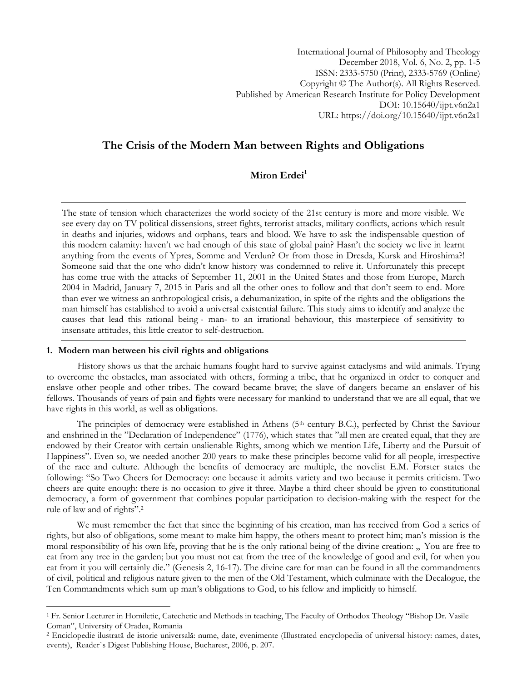International Journal of Philosophy and Theology December 2018, Vol. 6, No. 2, pp. 1-5 ISSN: 2333-5750 (Print), 2333-5769 (Online) Copyright © The Author(s). All Rights Reserved. Published by American Research Institute for Policy Development DOI: 10.15640/ijpt.v6n2a1 URL: https://doi.org/10.15640/ijpt.v6n2a1

# **The Crisis of the Modern Man between Rights and Obligations**

## **Miron Erdei<sup>1</sup>**

The state of tension which characterizes the world society of the 21st century is more and more visible. We see every day on TV political dissensions, street fights, terrorist attacks, military conflicts, actions which result in deaths and injuries, widows and orphans, tears and blood. We have to ask the indispensable question of this modern calamity: haven't we had enough of this state of global pain? Hasn't the society we live in learnt anything from the events of Ypres, Somme and Verdun? Or from those in Dresda, Kursk and Hiroshima?! Someone said that the one who didn't know history was condemned to relive it. Unfortunately this precept has come true with the attacks of September 11, 2001 in the United States and those from Europe, March 2004 in Madrid, January 7, 2015 in Paris and all the other ones to follow and that don't seem to end. More than ever we witness an anthropological crisis, a dehumanization, in spite of the rights and the obligations the man himself has established to avoid a universal existential failure. This study aims to identify and analyze the causes that lead this rational being - man- to an irrational behaviour, this masterpiece of sensitivity to insensate attitudes, this little creator to self-destruction.

#### **1. Modern man between his civil rights and obligations**

 $\overline{a}$ 

History shows us that the archaic humans fought hard to survive against cataclysms and wild animals. Trying to overcome the obstacles, man associated with others, forming a tribe, that he organized in order to conquer and enslave other people and other tribes. The coward became brave; the slave of dangers became an enslaver of his fellows. Thousands of years of pain and fights were necessary for mankind to understand that we are all equal, that we have rights in this world, as well as obligations.

The principles of democracy were established in Athens  $(5<sup>th</sup>$  century B.C.), perfected by Christ the Saviour and enshrined in the "Declaration of Independence" (1776), which states that "all men are created equal, that they are endowed by their Creator with certain unalienable Rights, among which we mention Life, Liberty and the Pursuit of Happiness". Even so, we needed another 200 years to make these principles become valid for all people, irrespective of the race and culture. Although the benefits of democracy are multiple, the novelist E.M. Forster states the following: "So Two Cheers for Democracy: one because it admits variety and two because it permits criticism. Two cheers are quite enough: there is no occasion to give it three. Maybe a third cheer should be given to constitutional democracy, a form of government that combines popular participation to decision-making with the respect for the rule of law and of rights".<sup>2</sup>

We must remember the fact that since the beginning of his creation, man has received from God a series of rights, but also of obligations, some meant to make him happy, the others meant to protect him; man's mission is the moral responsibility of his own life, proving that he is the only rational being of the divine creation: " You are free to eat from any tree in the garden; but you must not eat from the tree of the knowledge of good and evil, for when you eat from it you will certainly die." (Genesis 2, 16-17). The divine care for man can be found in all the commandments of civil, political and religious nature given to the men of the Old Testament, which culminate with the Decalogue, the Ten Commandments which sum up man's obligations to God, to his fellow and implicitly to himself.

<sup>1</sup> Fr. Senior Lecturer in Homiletic, Catechetic and Methods in teaching, The Faculty of Orthodox Theology "Bishop Dr. Vasile Coman", University of Oradea, Romania

<sup>2</sup> Enciclopedie ilustrată de istorie universală: nume, date, evenimente (Illustrated encyclopedia of universal history: names, dates, events), Reader`s Digest Publishing House, Bucharest, 2006, p. 207.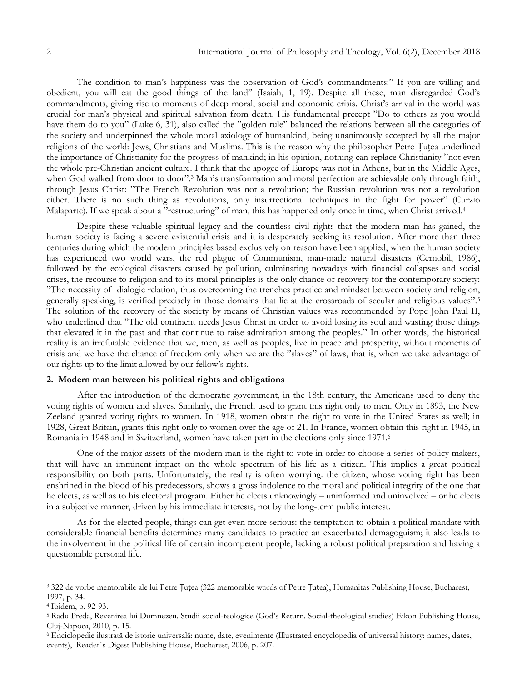The condition to man's happiness was the observation of God's commandments:" If you are willing and obedient, you will eat the good things of the land" (Isaiah, 1, 19). Despite all these, man disregarded God's commandments, giving rise to moments of deep moral, social and economic crisis. Christ's arrival in the world was crucial for man's physical and spiritual salvation from death. His fundamental precept "Do to others as you would have them do to you" (Luke 6, 31), also called the "golden rule" balanced the relations between all the categories of the society and underpinned the whole moral axiology of humankind, being unanimously accepted by all the major religions of the world: Jews, Christians and Muslims. This is the reason why the philosopher Petre Țuțea underlined the importance of Christianity for the progress of mankind; in his opinion, nothing can replace Christianity "not even the whole pre-Christian ancient culture. I think that the apogee of Europe was not in Athens, but in the Middle Ages, when God walked from door to door".<sup>3</sup> Man's transformation and moral perfection are achievable only through faith, through Jesus Christ: "The French Revolution was not a revolution; the Russian revolution was not a revolution either. There is no such thing as revolutions, only insurrectional techniques in the fight for power" (Curzio Malaparte). If we speak about a "restructuring" of man, this has happened only once in time, when Christ arrived.<sup>4</sup>

Despite these valuable spiritual legacy and the countless civil rights that the modern man has gained, the human society is facing a severe existential crisis and it is desperately seeking its resolution. After more than three centuries during which the modern principles based exclusively on reason have been applied, when the human society has experienced two world wars, the red plague of Communism, man-made natural disasters (Cernobîl, 1986), followed by the ecological disasters caused by pollution, culminating nowadays with financial collapses and social crises, the recourse to religion and to its moral principles is the only chance of recovery for the contemporary society: "The necessity of dialogic relation, thus overcoming the trenches practice and mindset between society and religion, generally speaking, is verified precisely in those domains that lie at the crossroads of secular and religious values".<sup>5</sup> The solution of the recovery of the society by means of Christian values was recommended by Pope John Paul II, who underlined that "The old continent needs Jesus Christ in order to avoid losing its soul and wasting those things that elevated it in the past and that continue to raise admiration among the peoples." In other words, the historical reality is an irrefutable evidence that we, men, as well as peoples, live in peace and prosperity, without moments of crisis and we have the chance of freedom only when we are the "slaves" of laws, that is, when we take advantage of our rights up to the limit allowed by our fellow's rights.

#### **2. Modern man between his political rights and obligations**

After the introduction of the democratic government, in the 18th century, the Americans used to deny the voting rights of women and slaves. Similarly, the French used to grant this right only to men. Only in 1893, the New Zeeland granted voting rights to women. In 1918, women obtain the right to vote in the United States as well; in 1928, Great Britain, grants this right only to women over the age of 21. In France, women obtain this right in 1945, in Romania in 1948 and in Switzerland, women have taken part in the elections only since 1971.<sup>6</sup>

One of the major assets of the modern man is the right to vote in order to choose a series of policy makers, that will have an imminent impact on the whole spectrum of his life as a citizen. This implies a great political responsibility on both parts. Unfortunately, the reality is often worrying: the citizen, whose voting right has been enshrined in the blood of his predecessors, shows a gross indolence to the moral and political integrity of the one that he elects, as well as to his electoral program. Either he elects unknowingly – uninformed and uninvolved – or he elects in a subjective manner, driven by his immediate interests, not by the long-term public interest.

As for the elected people, things can get even more serious: the temptation to obtain a political mandate with considerable financial benefits determines many candidates to practice an exacerbated demagoguism; it also leads to the involvement in the political life of certain incompetent people, lacking a robust political preparation and having a questionable personal life.

 $\overline{a}$ 

<sup>3</sup> 322 de vorbe memorabile ale lui Petre Țuțea (322 memorable words of Petre Țuțea), Humanitas Publishing House, Bucharest, 1997, p. 34.

<sup>4</sup> Ibidem, p. 92-93.

<sup>5</sup> Radu Preda, Revenirea lui Dumnezeu. Studii social-teologice (God's Return. Social-theological studies) Eikon Publishing House, Cluj-Napoca, 2010, p. 15.

<sup>6</sup> Enciclopedie ilustrată de istorie universală: nume, date, evenimente (Illustrated encyclopedia of universal history: names, dates, events), Reader`s Digest Publishing House, Bucharest, 2006, p. 207.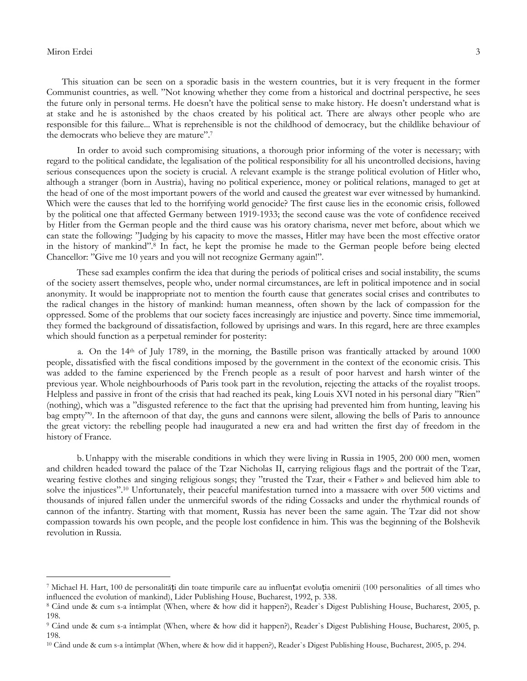#### Miron Erdei 3

 $\overline{a}$ 

This situation can be seen on a sporadic basis in the western countries, but it is very frequent in the former Communist countries, as well. "Not knowing whether they come from a historical and doctrinal perspective, he sees the future only in personal terms. He doesn't have the political sense to make history. He doesn't understand what is at stake and he is astonished by the chaos created by his political act. There are always other people who are responsible for this failure... What is reprehensible is not the childhood of democracy, but the childlike behaviour of the democrats who believe they are mature".<sup>7</sup>

In order to avoid such compromising situations, a thorough prior informing of the voter is necessary; with regard to the political candidate, the legalisation of the political responsibility for all his uncontrolled decisions, having serious consequences upon the society is crucial. A relevant example is the strange political evolution of Hitler who, although a stranger (born in Austria), having no political experience, money or political relations, managed to get at the head of one of the most important powers of the world and caused the greatest war ever witnessed by humankind. Which were the causes that led to the horrifying world genocide? The first cause lies in the economic crisis, followed by the political one that affected Germany between 1919-1933; the second cause was the vote of confidence received by Hitler from the German people and the third cause was his oratory charisma, never met before, about which we can state the following: "Judging by his capacity to move the masses, Hitler may have been the most effective orator in the history of mankind".<sup>8</sup> In fact, he kept the promise he made to the German people before being elected Chancellor: "Give me 10 years and you will not recognize Germany again!".

These sad examples confirm the idea that during the periods of political crises and social instability, the scums of the society assert themselves, people who, under normal circumstances, are left in political impotence and in social anonymity. It would be inappropriate not to mention the fourth cause that generates social crises and contributes to the radical changes in the history of mankind: human meanness, often shown by the lack of compassion for the oppressed. Some of the problems that our society faces increasingly are injustice and poverty. Since time immemorial, they formed the background of dissatisfaction, followed by uprisings and wars. In this regard, here are three examples which should function as a perpetual reminder for posterity:

a. On the 14th of July 1789, in the morning, the Bastille prison was frantically attacked by around 1000 people, dissatisfied with the fiscal conditions imposed by the government in the context of the economic crisis. This was added to the famine experienced by the French people as a result of poor harvest and harsh winter of the previous year. Whole neighbourhoods of Paris took part in the revolution, rejecting the attacks of the royalist troops. Helpless and passive in front of the crisis that had reached its peak, king Louis XVI noted in his personal diary "Rien" (nothing), which was a "disgusted reference to the fact that the uprising had prevented him from hunting, leaving his bag empty"<sup>9</sup>. In the afternoon of that day, the guns and cannons were silent, allowing the bells of Paris to announce the great victory: the rebelling people had inaugurated a new era and had written the first day of freedom in the history of France.

b.Unhappy with the miserable conditions in which they were living in Russia in 1905, 200 000 men, women and children headed toward the palace of the Tzar Nicholas II, carrying religious flags and the portrait of the Tzar, wearing festive clothes and singing religious songs; they "trusted the Tzar, their « Father » and believed him able to solve the injustices".<sup>10</sup> Unfortunately, their peaceful manifestation turned into a massacre with over 500 victims and thousands of injured fallen under the unmerciful swords of the riding Cossacks and under the rhythmical rounds of cannon of the infantry. Starting with that moment, Russia has never been the same again. The Tzar did not show compassion towards his own people, and the people lost confidence in him. This was the beginning of the Bolshevik revolution in Russia.

<sup>7</sup> Michael H. Hart, 100 de personalități din toate timpurile care au influențat evoluția omenirii (100 personalities of all times who influenced the evolution of mankind), Lider Publishing House, Bucharest, 1992, p. 338.

<sup>8</sup> Când unde & cum s-a întâmplat (When, where & how did it happen?), Reader`s Digest Publishing House, Bucharest, 2005, p. 198.

<sup>9</sup> Când unde & cum s-a întâmplat (When, where & how did it happen?), Reader`s Digest Publishing House, Bucharest, 2005, p. 198.

<sup>10</sup> Când unde & cum s-a întâmplat (When, where & how did it happen?), Reader`s Digest Publishing House, Bucharest, 2005, p. 294.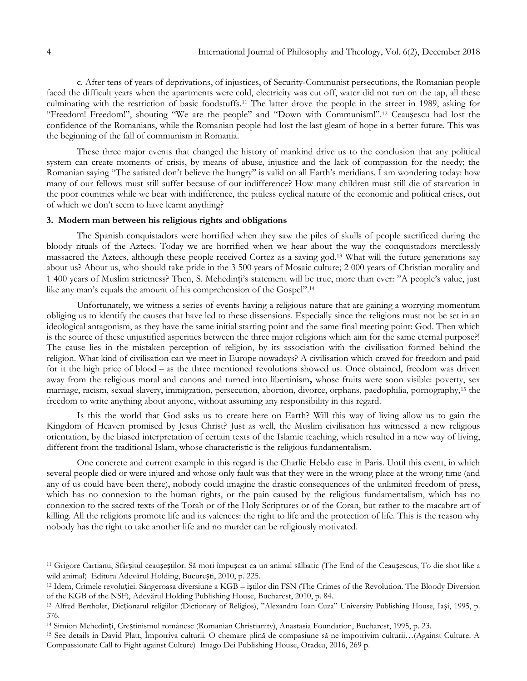c. After tens of years of deprivations, of injustices, of Security-Communist persecutions, the Romanian people faced the difficult years when the apartments were cold, electricity was cut off, water did not run on the tap, all these culminating with the restriction of basic foodstuffs.<sup>11</sup> The latter drove the people in the street in 1989, asking for "Freedom! Freedom!", shouting "We are the people" and "Down with Communism!".<sup>12</sup> Ceaușescu had lost the confidence of the Romanians, while the Romanian people had lost the last gleam of hope in a better future. This was the beginning of the fall of communism in Romania.

These three major events that changed the history of mankind drive us to the conclusion that any political system can create moments of crisis, by means of abuse, injustice and the lack of compassion for the needy; the Romanian saying "The satiated don't believe the hungry" is valid on all Earth's meridians. I am wondering today: how many of our fellows must still suffer because of our indifference? How many children must still die of starvation in the poor countries while we bear with indifference, the pitiless cyclical nature of the economic and political crises, out of which we don't seem to have learnt anything?

### **3. Modern man between his religious rights and obligations**

The Spanish conquistadors were horrified when they saw the piles of skulls of people sacrificed during the bloody rituals of the Aztecs. Today we are horrified when we hear about the way the conquistadors mercilessly massacred the Aztecs, although these people received Cortez as a saving god.<sup>13</sup> What will the future generations say about us? About us, who should take pride in the 3 500 years of Mosaic culture; 2 000 years of Christian morality and 1 400 years of Muslim strictness? Then, S. Mehedinți's statement will be true, more than ever: "A people's value, just like any man's equals the amount of his comprehension of the Gospel".<sup>14</sup>

Unfortunately, we witness a series of events having a religious nature that are gaining a worrying momentum obliging us to identify the causes that have led to these dissensions. Especially since the religions must not be set in an ideological antagonism, as they have the same initial starting point and the same final meeting point: God. Then which is the source of these unjustified asperities between the three major religions which aim for the same eternal purpose?! The cause lies in the mistaken perception of religion, by its association with the civilisation formed behind the religion. What kind of civilisation can we meet in Europe nowadays? A civilisation which craved for freedom and paid for it the high price of blood – as the three mentioned revolutions showed us. Once obtained, freedom was driven away from the religious moral and canons and turned into libertinism**,** whose fruits were soon visible: poverty, sex marriage, racism, sexual slavery, immigration, persecution, abortion, divorce, orphans, paedophilia, pornography,<sup>15</sup> the freedom to write anything about anyone, without assuming any responsibility in this regard.

Is this the world that God asks us to create here on Earth? Will this way of living allow us to gain the Kingdom of Heaven promised by Jesus Christ? Just as well, the Muslim civilisation has witnessed a new religious orientation, by the biased interpretation of certain texts of the Islamic teaching, which resulted in a new way of living, different from the traditional Islam, whose characteristic is the religious fundamentalism.

One concrete and current example in this regard is the Charlie Hebdo case in Paris. Until this event, in which several people died or were injured and whose only fault was that they were in the wrong place at the wrong time (and any of us could have been there), nobody could imagine the drastic consequences of the unlimited freedom of press, which has no connexion to the human rights, or the pain caused by the religious fundamentalism, which has no connexion to the sacred texts of the Torah or of the Holy Scriptures or of the Coran, but rather to the macabre art of killing. All the religions promote life and its valences: the right to life and the protection of life. This is the reason why nobody has the right to take another life and no murder can be religiously motivated.

 $\overline{a}$ 

<sup>11</sup> Grigore Cartianu, Sfârșitul ceaușeștilor. Să mori împușcat ca un animal sălbatic (The End of the Ceaușescus, To die shot like a wild animal) Editura Adevărul Holding, București, 2010, p. 225.

<sup>12</sup> Idem, Crimele revoluției. Sângeroasa diversiune a KGB – iștilor din FSN (The Crimes of the Revolution. The Bloody Diversion of the KGB of the NSF), Adevărul Holding Publishing House, Bucharest, 2010, p. 84.

<sup>13</sup> Alfred Bertholet, Dicționarul religiilor (Dictionary of Religios), "Alexandru Ioan Cuza" University Publishing House, Iași, 1995, p. 376.

<sup>14</sup> Simion Mehedinți, Creștinismul românesc (Romanian Christianity), Anastasia Foundation, Bucharest, 1995, p. 23.

<sup>15</sup> See details in David Platt, Împotriva culturii. O chemare plină de compasiune să ne împotrivim culturii…(Against Culture. A Compassionate Call to Fight against Culture) Imago Dei Publishing House, Oradea, 2016, 269 p.